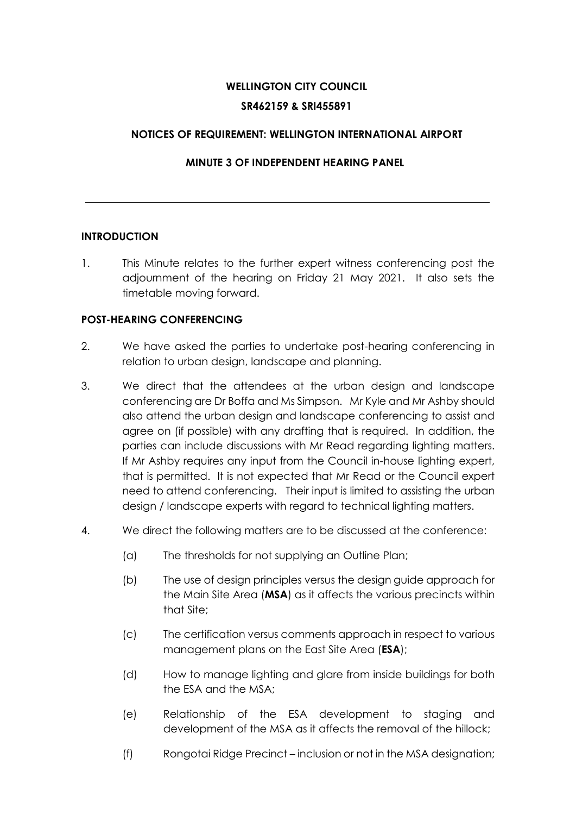# **WELLINGTON CITY COUNCIL SR462159 & SRI455891**

## **NOTICES OF REQUIREMENT: WELLINGTON INTERNATIONAL AIRPORT**

## **MINUTE 3 OF INDEPENDENT HEARING PANEL**

### **INTRODUCTION**

1. This Minute relates to the further expert witness conferencing post the adjournment of the hearing on Friday 21 May 2021. It also sets the timetable moving forward.

## **POST-HEARING CONFERENCING**

- 2. We have asked the parties to undertake post-hearing conferencing in relation to urban design, landscape and planning.
- 3. We direct that the attendees at the urban design and landscape conferencing are Dr Boffa and Ms Simpson. Mr Kyle and Mr Ashby should also attend the urban design and landscape conferencing to assist and agree on (if possible) with any drafting that is required. In addition, the parties can include discussions with Mr Read regarding lighting matters. If Mr Ashby requires any input from the Council in-house lighting expert, that is permitted. It is not expected that Mr Read or the Council expert need to attend conferencing. Their input is limited to assisting the urban design / landscape experts with regard to technical lighting matters.
- 4. We direct the following matters are to be discussed at the conference:
	- (a) The thresholds for not supplying an Outline Plan;
	- (b) The use of design principles versus the design guide approach for the Main Site Area (**MSA**) as it affects the various precincts within that Site;
	- (c) The certification versus comments approach in respect to various management plans on the East Site Area (**ESA**);
	- (d) How to manage lighting and glare from inside buildings for both the ESA and the MSA;
	- (e) Relationship of the ESA development to staging and development of the MSA as it affects the removal of the hillock;
	- (f) Rongotai Ridge Precinct inclusion or not in the MSA designation;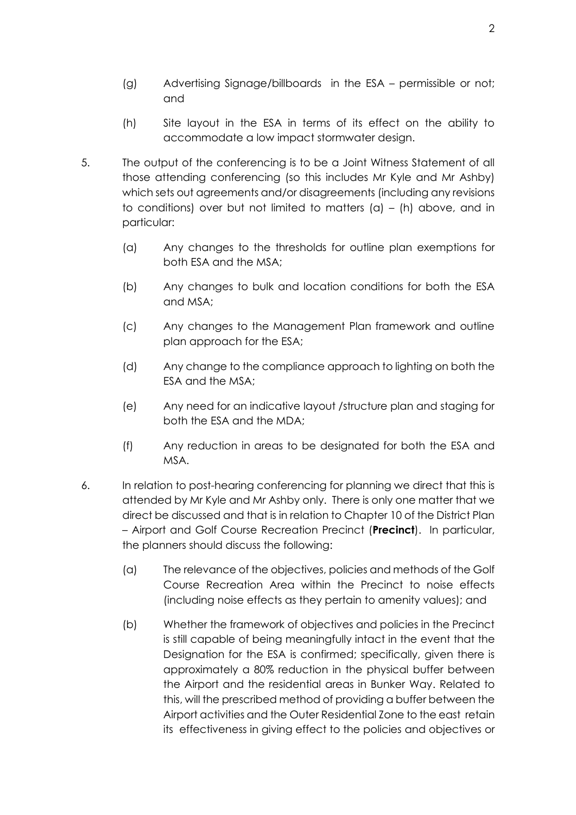- (g) Advertising Signage/billboards in the ESA permissible or not; and
- (h) Site layout in the ESA in terms of its effect on the ability to accommodate a low impact stormwater design.
- 5. The output of the conferencing is to be a Joint Witness Statement of all those attending conferencing (so this includes Mr Kyle and Mr Ashby) which sets out agreements and/or disagreements (including any revisions to conditions) over but not limited to matters  $(a) - (h)$  above, and in particular:
	- (a) Any changes to the thresholds for outline plan exemptions for both ESA and the MSA;
	- (b) Any changes to bulk and location conditions for both the ESA and MSA;
	- (c) Any changes to the Management Plan framework and outline plan approach for the ESA;
	- (d) Any change to the compliance approach to lighting on both the ESA and the MSA;
	- (e) Any need for an indicative layout /structure plan and staging for both the ESA and the MDA;
	- (f) Any reduction in areas to be designated for both the ESA and MSA.
- 6. In relation to post-hearing conferencing for planning we direct that this is attended by Mr Kyle and Mr Ashby only. There is only one matter that we direct be discussed and that is in relation to Chapter 10 of the District Plan – Airport and Golf Course Recreation Precinct (**Precinct**). In particular, the planners should discuss the following:
	- (a) The relevance of the objectives, policies and methods of the Golf Course Recreation Area within the Precinct to noise effects (including noise effects as they pertain to amenity values); and
	- (b) Whether the framework of objectives and policies in the Precinct is still capable of being meaningfully intact in the event that the Designation for the ESA is confirmed; specifically, given there is approximately a 80% reduction in the physical buffer between the Airport and the residential areas in Bunker Way. Related to this, will the prescribed method of providing a buffer between the Airport activities and the Outer Residential Zone to the east retain its effectiveness in giving effect to the policies and objectives or